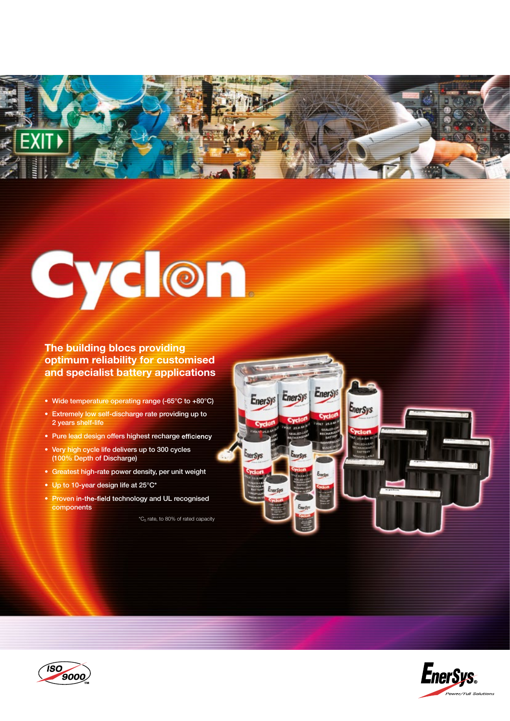

# **Cyclon**

# **The building blocs providing optimum reliability for customised and specialist battery applications**

- Wide temperature operating range (-65°C to +80°C)
- Extremely low self-discharge rate providing up to 2 years shelf-life
- Pure lead design offers highest recharge efficiency
- Very high cycle life delivers up to 300 cycles (100% Depth of Discharge)
- Greatest high-rate power density, per unit weight
- Up to 10-year design life at 25°C\*
- Proven in-the-field technology and UL recognised components

 ${^*\mathsf{C}}_5$  rate, to 80% of rated capacity